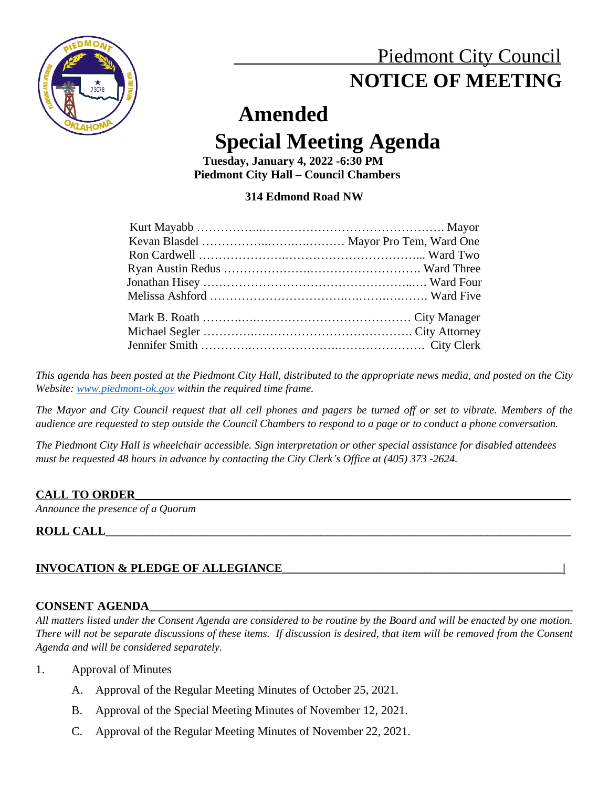

## Piedmont City Council  **NOTICE OF MEETING**

# **Amended**

## **Special Meeting Agenda**

 **Tuesday, January 4, 2022 -6:30 PM Piedmont City Hall – Council Chambers**

## **314 Edmond Road NW**

This agenda has been posted at the Piedmont City Hall, distributed to the appropriate news media, and posted on the City *Website: [www.piedmont-ok.gov](http://www.piedmont-ok.gov) within the required time frame.*

The Mayor and City Council request that all cell phones and pagers be turned off or set to vibrate. Members of the *audience are requested to step outside the Council Chambers to respond to a page or to conduct a phone conversation.* 

*The Piedmont City Hall is wheelchair accessible. Sign interpretation or other special assistance for disabled attendees must be requested 48 hours in advance by contacting the City Clerk's Office at (405) 373 -2624.* 

## **CALL TO ORDER\_\_\_\_\_\_\_\_\_\_\_\_\_\_\_\_\_\_\_\_\_\_\_\_\_\_\_\_\_\_\_\_\_\_\_\_\_\_\_\_\_\_\_\_\_\_\_\_\_\_\_\_\_\_\_\_\_\_\_\_\_\_\_\_\_\_\_\_\_\_\_\_\_**

*Announce the presence of a Quorum*

## **ROLL CALL**

## **INVOCATION & PLEDGE OF ALLEGIANCE\_\_\_\_\_\_\_\_\_\_\_\_\_\_\_\_\_\_\_\_\_\_\_\_\_\_\_\_\_\_\_\_\_\_\_\_\_\_\_\_\_\_\_\_\_\_\_|**

## **CONSENT AGENDA\_\_\_\_\_\_\_\_\_\_\_\_\_\_\_\_\_\_\_\_\_\_\_\_\_\_\_\_\_\_\_\_\_\_\_\_\_\_\_\_\_\_\_\_\_\_\_\_\_\_\_\_\_\_\_\_\_\_\_\_\_\_\_\_\_\_\_\_\_\_\_**

All matters listed under the Consent Agenda are considered to be routine by the Board and will be enacted by one motion. There will not be separate discussions of these items. If discussion is desired, that item will be removed from the Consent *Agenda and will be considered separately.*

- 1. Approval of Minutes
	- A. Approval of the Regular Meeting Minutes of October 25, 2021.
	- B. Approval of the Special Meeting Minutes of November 12, 2021.
	- C. Approval of the Regular Meeting Minutes of November 22, 2021.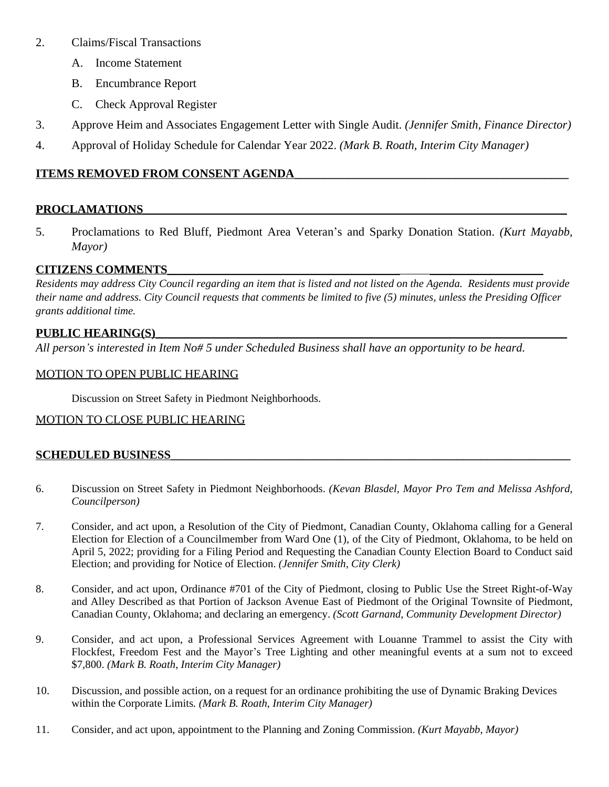#### 2. Claims/Fiscal Transactions

- A. Income Statement
- B. Encumbrance Report
- C. Check Approval Register
- 3. Approve Heim and Associates Engagement Letter with Single Audit. *(Jennifer Smith, Finance Director)*
- 4. Approval of Holiday Schedule for Calendar Year 2022. *(Mark B. Roath, Interim City Manager)*

## **ITEMS REMOVED FROM CONSENT AGENDA\_\_\_\_\_\_\_\_\_\_\_\_\_\_\_\_\_\_\_\_\_\_\_\_\_\_\_\_\_\_\_\_\_\_\_\_\_\_\_\_\_\_\_\_\_\_**

## ${\bf PROCLAMATIONS}$

5. Proclamations to Red Bluff, Piedmont Area Veteran's and Sparky Donation Station. *(Kurt Mayabb, Mayor)*

## **CITIZENS COMMENTS\_\_\_\_\_\_\_\_\_\_\_\_\_\_\_\_\_\_\_\_\_\_\_\_\_\_\_\_\_\_\_\_\_\_\_\_\_\_\_ \_\_\_\_\_\_\_\_\_\_\_\_\_\_\_\_\_\_\_**

*Residents may address City Council regarding an item that is listed and not listed on the Agenda. Residents must provide their name and address. City Council requests that comments be limited to five (5) minutes, unless the Presiding Officer grants additional time.*

## PUBLIC HEARING(S)

*All person's interested in Item No# 5 under Scheduled Business shall have an opportunity to be heard.*

## MOTION TO OPEN PUBLIC HEARING

Discussion on Street Safety in Piedmont Neighborhoods.

## MOTION TO CLOSE PUBLIC HEARING

## **SCHEDULED BUSINESS\_\_\_\_\_\_\_\_\_\_\_\_\_\_\_\_\_\_\_\_\_\_\_\_\_\_\_\_\_\_\_\_\_\_\_\_\_\_\_\_\_\_\_\_\_\_\_\_\_\_\_\_\_\_\_\_\_\_\_\_\_\_\_\_\_\_\_**

- 6. Discussion on Street Safety in Piedmont Neighborhoods. *(Kevan Blasdel, Mayor Pro Tem and Melissa Ashford, Councilperson)*
- 7. Consider, and act upon, a Resolution of the City of Piedmont, Canadian County, Oklahoma calling for a General Election for Election of a Councilmember from Ward One (1), of the City of Piedmont, Oklahoma, to be held on April 5, 2022; providing for a Filing Period and Requesting the Canadian County Election Board to Conduct said Election; and providing for Notice of Election. *(Jennifer Smith, City Clerk)*
- 8. Consider, and act upon, Ordinance #701 of the City of Piedmont, closing to Public Use the Street Right-of-Way and Alley Described as that Portion of Jackson Avenue East of Piedmont of the Original Townsite of Piedmont, Canadian County, Oklahoma; and declaring an emergency. *(Scott Garnand, Community Development Director)*
- 9. Consider, and act upon, a Professional Services Agreement with Louanne Trammel to assist the City with Flockfest, Freedom Fest and the Mayor's Tree Lighting and other meaningful events at a sum not to exceed \$7,800. *(Mark B. Roath, Interim City Manager)*
- 10. Discussion, and possible action, on a request for an ordinance prohibiting the use of Dynamic Braking Devices within the Corporate Limits*. (Mark B. Roath, Interim City Manager)*
- 11. Consider, and act upon, appointment to the Planning and Zoning Commission. *(Kurt Mayabb, Mayor)*